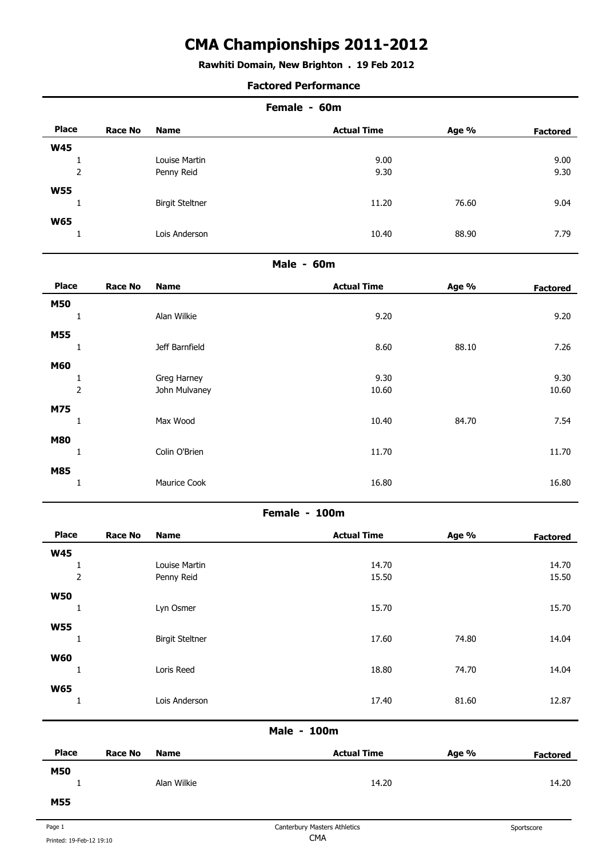## **Rawhiti Domain, New Brighton . 19 Feb 2012**

#### **Factored Performance**

|              |                | Female - 60m           |                    |       |                 |  |
|--------------|----------------|------------------------|--------------------|-------|-----------------|--|
| <b>Place</b> | <b>Race No</b> | <b>Name</b>            | <b>Actual Time</b> | Age % | <b>Factored</b> |  |
| <b>W45</b>   |                |                        |                    |       |                 |  |
|              |                | Louise Martin          | 9.00               |       | 9.00            |  |
| 2            |                | Penny Reid             | 9.30               |       | 9.30            |  |
| <b>W55</b>   |                |                        |                    |       |                 |  |
| L            |                | <b>Birgit Steltner</b> | 11.20              | 76.60 | 9.04            |  |
| <b>W65</b>   |                |                        |                    |       |                 |  |
|              |                | Lois Anderson          | 10.40              | 88.90 | 7.79            |  |
|              |                |                        |                    |       |                 |  |

### **Male - 60m**

| <b>Place</b>   | <b>Race No</b> | <b>Name</b>    | <b>Actual Time</b> | Age % | <b>Factored</b> |
|----------------|----------------|----------------|--------------------|-------|-----------------|
| <b>M50</b>     |                |                |                    |       |                 |
| 1              |                | Alan Wilkie    | 9.20               |       | 9.20            |
| <b>M55</b>     |                |                |                    |       |                 |
| ۰<br>Ŧ         |                | Jeff Barnfield | 8.60               | 88.10 | 7.26            |
| <b>M60</b>     |                |                |                    |       |                 |
| Ŧ              |                | Greg Harney    | 9.30               |       | 9.30            |
| $\overline{2}$ |                | John Mulvaney  | 10.60              |       | 10.60           |
| M75            |                |                |                    |       |                 |
| 1              |                | Max Wood       | 10.40              | 84.70 | 7.54            |
| <b>M80</b>     |                |                |                    |       |                 |
| 1              |                | Colin O'Brien  | 11.70              |       | 11.70           |
| <b>M85</b>     |                |                |                    |       |                 |
| 1              |                | Maurice Cook   | 16.80              |       | 16.80           |
|                |                |                |                    |       |                 |

### **Female - 100m**

| <b>Place</b> | <b>Race No</b> | <b>Name</b>            | <b>Actual Time</b> | Age % | <b>Factored</b> |
|--------------|----------------|------------------------|--------------------|-------|-----------------|
| <b>W45</b>   |                |                        |                    |       |                 |
| Ŧ            |                | Louise Martin          | 14.70              |       | 14.70           |
| $\mathbf 2$  |                | Penny Reid             | 15.50              |       | 15.50           |
| <b>W50</b>   |                |                        |                    |       |                 |
| Τ.           |                | Lyn Osmer              | 15.70              |       | 15.70           |
| <b>W55</b>   |                |                        |                    |       |                 |
| Ŧ,           |                | <b>Birgit Steltner</b> | 17.60              | 74.80 | 14.04           |
| <b>W60</b>   |                |                        |                    |       |                 |
| Ŧ            |                | Loris Reed             | 18.80              | 74.70 | 14.04           |
| <b>W65</b>   |                |                        |                    |       |                 |
| Ŧ            |                | Lois Anderson          | 17.40              | 81.60 | 12.87           |

| <b>Place</b> | Race No | <b>Name</b> | <b>Actual Time</b> | Age % | <b>Factored</b> |
|--------------|---------|-------------|--------------------|-------|-----------------|
| <b>M50</b>   |         | Alan Wilkie | 14.20              |       | 14.20           |
| <b>M55</b>   |         |             |                    |       |                 |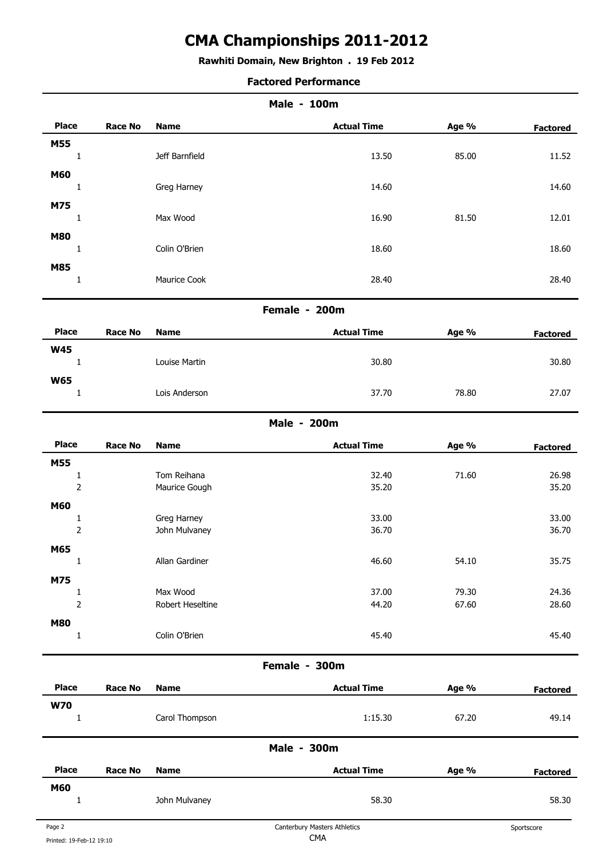# **Rawhiti Domain, New Brighton . 19 Feb 2012**

| <b>Factored Performance</b> |  |
|-----------------------------|--|
|-----------------------------|--|

|                                |                |                              | Male - 100m        |       |                 |
|--------------------------------|----------------|------------------------------|--------------------|-------|-----------------|
| <b>Place</b>                   | <b>Race No</b> | <b>Name</b>                  | <b>Actual Time</b> | Age % | <b>Factored</b> |
| M55                            |                |                              |                    |       |                 |
| $\mathbf{1}$                   |                | Jeff Barnfield               | 13.50              | 85.00 | 11.52           |
| <b>M60</b>                     |                |                              |                    |       |                 |
| $\mathbf{1}$                   |                | Greg Harney                  | 14.60              |       | 14.60           |
| M75                            |                |                              |                    |       |                 |
| $\mathbf{1}$                   |                | Max Wood                     | 16.90              | 81.50 | 12.01           |
| <b>M80</b>                     |                |                              |                    |       |                 |
| $\mathbf{1}$                   |                | Colin O'Brien                | 18.60              |       | 18.60           |
| <b>M85</b><br>$\mathbf{1}$     |                | Maurice Cook                 | 28.40              |       | 28.40           |
|                                |                |                              |                    |       |                 |
|                                |                |                              | Female - 200m      |       |                 |
| <b>Place</b>                   | <b>Race No</b> | <b>Name</b>                  | <b>Actual Time</b> | Age % | <b>Factored</b> |
| <b>W45</b>                     |                |                              |                    |       |                 |
| $\mathbf{1}$                   |                | Louise Martin                | 30.80              |       | 30.80           |
| <b>W65</b>                     |                |                              |                    |       |                 |
| $\mathbf{1}$                   |                | Lois Anderson                | 37.70              | 78.80 | 27.07           |
|                                |                |                              | Male - 200m        |       |                 |
| <b>Place</b>                   | <b>Race No</b> | <b>Name</b>                  | <b>Actual Time</b> | Age % | <b>Factored</b> |
| M55                            |                |                              |                    |       |                 |
| $1\,$                          |                | Tom Reihana                  | 32.40              | 71.60 | 26.98           |
| $\overline{2}$                 |                | Maurice Gough                | 35.20              |       | 35.20           |
| <b>M60</b>                     |                |                              |                    |       |                 |
| $\mathbf{1}$<br>$\overline{c}$ |                | Greg Harney<br>John Mulvaney | 33.00<br>36.70     |       | 33.00<br>36.70  |
|                                |                |                              |                    |       |                 |
| M65<br>$\mathbf{1}$            |                | Allan Gardiner               | 46.60              | 54.10 | 35.75           |
|                                |                |                              |                    |       |                 |
| M75<br>$\mathbf{1}$            |                | Max Wood                     | 37.00              | 79.30 | 24.36           |
| $\overline{c}$                 |                | Robert Heseltine             | 44.20              | 67.60 | 28.60           |
| <b>M80</b>                     |                |                              |                    |       |                 |
| $\mathbf{1}$                   |                | Colin O'Brien                | 45.40              |       | 45.40           |
|                                |                |                              |                    |       |                 |

### **Female - 300m**

| <b>Place</b> | <b>Race No</b> | <b>Name</b>    | <b>Actual Time</b> | Age % | <b>Factored</b> |
|--------------|----------------|----------------|--------------------|-------|-----------------|
| <b>W70</b>   |                |                |                    |       |                 |
| ÷            |                | Carol Thompson | 1:15.30            | 67.20 | 49.14           |
|              |                |                | Male - 300m        |       |                 |
| <b>Place</b> | <b>Race No</b> | <b>Name</b>    | <b>Actual Time</b> | Age % | <b>Factored</b> |
| M60          |                |                |                    |       |                 |
|              |                | John Mulvaney  | 58.30              |       | 58.30           |
|              |                |                |                    |       |                 |

Î.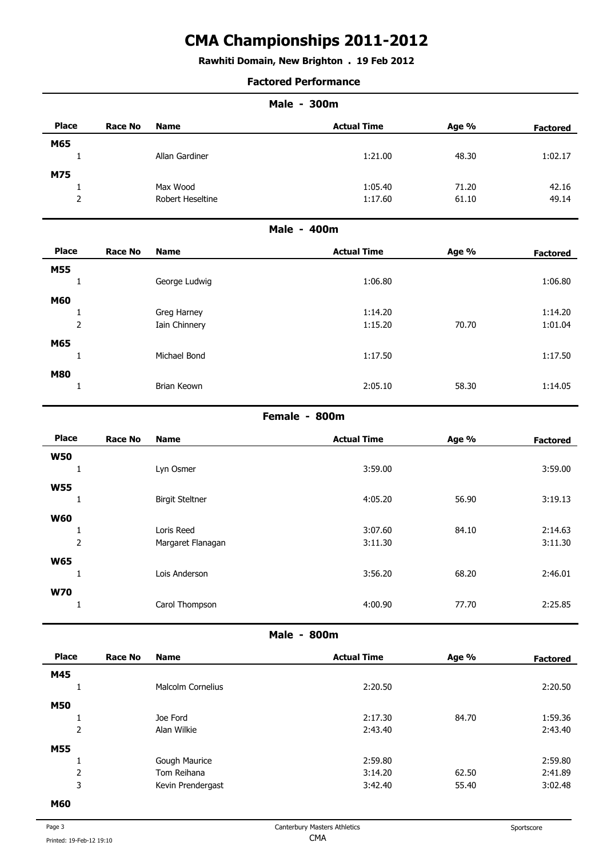# **Rawhiti Domain, New Brighton . 19 Feb 2012**

### **Factored Performance**

|                |                |                  | <b>Male - 300m</b> |       |                 |
|----------------|----------------|------------------|--------------------|-------|-----------------|
| <b>Place</b>   | <b>Race No</b> | <b>Name</b>      | <b>Actual Time</b> | Age % | <b>Factored</b> |
| M65            |                |                  |                    |       |                 |
| 1              |                | Allan Gardiner   | 1:21.00            | 48.30 | 1:02.17         |
| M75            |                |                  |                    |       |                 |
| $\mathbf{1}$   |                | Max Wood         | 1:05.40            | 71.20 | 42.16           |
| $\overline{2}$ |                | Robert Heseltine | 1:17.60            | 61.10 | 49.14           |
|                |                |                  | Male - 400m        |       |                 |
| <b>Place</b>   | <b>Race No</b> | <b>Name</b>      | <b>Actual Time</b> | Age % | <b>Factored</b> |
| M55            |                |                  |                    |       |                 |
| 1              |                | George Ludwig    | 1:06.80            |       | 1:06.80         |
| <b>M60</b>     |                |                  |                    |       |                 |
| 1              |                | Greg Harney      | 1:14.20            |       | 1:14.20         |
| $\mathbf 2$    |                | Iain Chinnery    | 1:15.20            | 70.70 | 1:01.04         |
| M65            |                |                  |                    |       |                 |
| 1              |                | Michael Bond     | 1:17.50            |       | 1:17.50         |
| <b>M80</b>     |                |                  |                    |       |                 |
| 1              |                | Brian Keown      | 2:05.10            | 58.30 | 1:14.05         |
|                |                |                  | Female - 800m      |       |                 |
| <b>Place</b>   | <b>Race No</b> | <b>Name</b>      | <b>Actual Time</b> | Age % | <b>Factored</b> |

| <b>Place</b>   | <b>Race No</b> | <b>Name</b>            | <b>Actual Time</b> | Age % | <b>Factored</b> |
|----------------|----------------|------------------------|--------------------|-------|-----------------|
| <b>W50</b>     |                |                        |                    |       |                 |
| <b>I</b>       |                | Lyn Osmer              | 3:59.00            |       | 3:59.00         |
| <b>W55</b>     |                |                        |                    |       |                 |
| ш              |                | <b>Birgit Steltner</b> | 4:05.20            | 56.90 | 3:19.13         |
| <b>W60</b>     |                |                        |                    |       |                 |
|                |                | Loris Reed             | 3:07.60            | 84.10 | 2:14.63         |
| $\overline{2}$ |                | Margaret Flanagan      | 3:11.30            |       | 3:11.30         |
| <b>W65</b>     |                |                        |                    |       |                 |
| ٠              |                | Lois Anderson          | 3:56.20            | 68.20 | 2:46.01         |
| <b>W70</b>     |                |                        |                    |       |                 |
|                |                | Carol Thompson         | 4:00.90            | 77.70 | 2:25.85         |
|                |                |                        |                    |       |                 |

**Male - 800m** 

| <b>Place</b> | <b>Race No</b> | <b>Name</b>       | <b>Actual Time</b> | Age % | <b>Factored</b> |
|--------------|----------------|-------------------|--------------------|-------|-----------------|
| M45          |                |                   |                    |       |                 |
|              |                | Malcolm Cornelius | 2:20.50            |       | 2:20.50         |
| <b>M50</b>   |                |                   |                    |       |                 |
|              |                | Joe Ford          | 2:17.30            | 84.70 | 1:59.36         |
| $\mathbf 2$  |                | Alan Wilkie       | 2:43.40            |       | 2:43.40         |
| <b>M55</b>   |                |                   |                    |       |                 |
|              |                | Gough Maurice     | 2:59.80            |       | 2:59.80         |
| 2            |                | Tom Reihana       | 3:14.20            | 62.50 | 2:41.89         |
| 3            |                | Kevin Prendergast | 3:42.40            | 55.40 | 3:02.48         |
| <b>MEN</b>   |                |                   |                    |       |                 |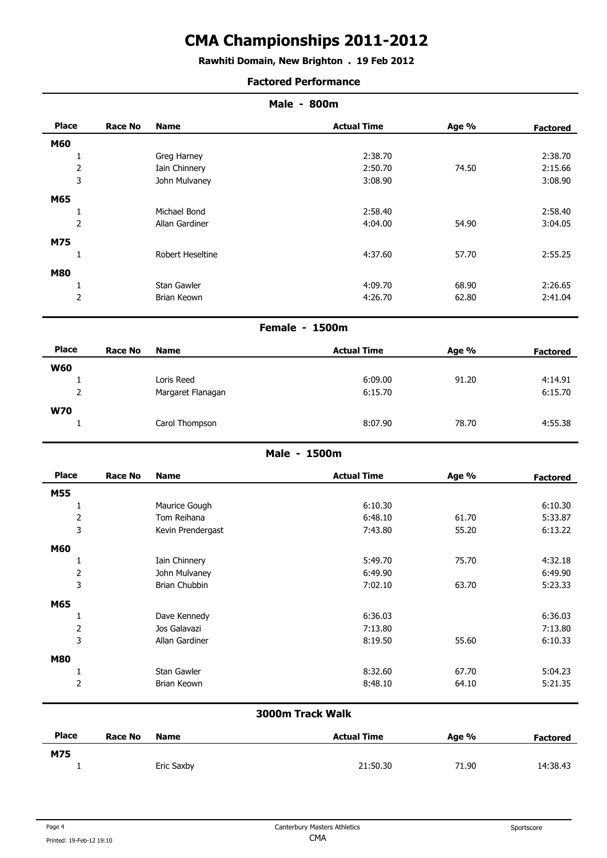## **Rawhiti Domain, New Brighton . 19 Feb 2012**

### **Factored Performance**

| <b>Place</b>   | <b>Race No</b> | <b>Name</b>      | <b>Actual Time</b> | Age % | <b>Factored</b> |
|----------------|----------------|------------------|--------------------|-------|-----------------|
| M60            |                |                  |                    |       |                 |
|                |                | Greg Harney      | 2:38.70            |       | 2:38.70         |
| $\overline{2}$ |                | Iain Chinnery    | 2:50.70            | 74.50 | 2:15.66         |
| 3              |                | John Mulvaney    | 3:08.90            |       | 3:08.90         |
| M65            |                |                  |                    |       |                 |
|                |                | Michael Bond     | 2:58.40            |       | 2:58.40         |
| $\overline{2}$ |                | Allan Gardiner   | 4:04.00            | 54.90 | 3:04.05         |
| M75            |                |                  |                    |       |                 |
|                |                | Robert Heseltine | 4:37.60            | 57.70 | 2:55.25         |
| <b>M80</b>     |                |                  |                    |       |                 |
|                |                | Stan Gawler      | 4:09.70            | 68.90 | 2:26.65         |
| $\overline{2}$ |                | Brian Keown      | 4:26.70            | 62.80 | 2:41.04         |
|                |                |                  |                    |       |                 |

## **Female - 1500m**

| <b>Place</b> | Race No | <b>Name</b>       | <b>Actual Time</b> | Age % | <b>Factored</b> |
|--------------|---------|-------------------|--------------------|-------|-----------------|
| <b>W60</b>   |         |                   |                    |       |                 |
|              |         | Loris Reed        | 6:09.00            | 91.20 | 4:14.91         |
| っ<br>▵       |         | Margaret Flanagan | 6:15.70            |       | 6:15.70         |
| <b>W70</b>   |         |                   |                    |       |                 |
|              |         | Carol Thompson    | 8:07.90            | 78.70 | 4:55.38         |
|              |         |                   |                    |       |                 |

## **Male - 1500m**

| <b>Place</b>   | <b>Race No</b> | <b>Name</b>       | <b>Actual Time</b> | Age % | <b>Factored</b> |
|----------------|----------------|-------------------|--------------------|-------|-----------------|
| <b>M55</b>     |                |                   |                    |       |                 |
|                |                | Maurice Gough     | 6:10.30            |       | 6:10.30         |
| $\overline{2}$ |                | Tom Reihana       | 6:48.10            | 61.70 | 5:33.87         |
| 3              |                | Kevin Prendergast | 7:43.80            | 55.20 | 6:13.22         |
| M60            |                |                   |                    |       |                 |
|                |                | Iain Chinnery     | 5:49.70            | 75.70 | 4:32.18         |
| $\mathbf 2$    |                | John Mulvaney     | 6:49.90            |       | 6:49.90         |
| 3              |                | Brian Chubbin     | 7:02.10            | 63.70 | 5:23.33         |
| M65            |                |                   |                    |       |                 |
|                |                | Dave Kennedy      | 6:36.03            |       | 6:36.03         |
| $\overline{2}$ |                | Jos Galavazi      | 7:13.80            |       | 7:13.80         |
| 3              |                | Allan Gardiner    | 8:19.50            | 55.60 | 6:10.33         |
| <b>M80</b>     |                |                   |                    |       |                 |
|                |                | Stan Gawler       | 8:32.60            | 67.70 | 5:04.23         |
| $\mathbf 2$    |                | Brian Keown       | 8:48.10            | 64.10 | 5:21.35         |

# **3000m Track Walk**

| <b>Place</b> | Race No | <b>Name</b> | <b>Actual Time</b> | Age % | <b>Factored</b> |
|--------------|---------|-------------|--------------------|-------|-----------------|
| M75          |         |             |                    |       |                 |
|              |         | Eric Saxby  | 21:50.30           | 71.90 | 14:38.43        |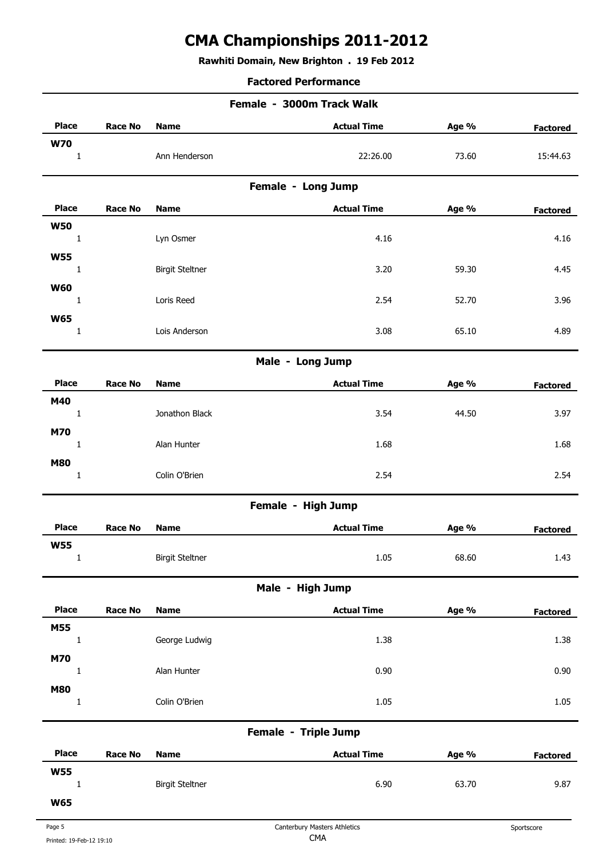# **Rawhiti Domain, New Brighton . 19 Feb 2012**

## **Factored Performance**

|                            |                |                        | Female - 3000m Track Walk    |       |                 |
|----------------------------|----------------|------------------------|------------------------------|-------|-----------------|
| <b>Place</b>               | <b>Race No</b> | <b>Name</b>            | <b>Actual Time</b>           | Age % | Factored        |
| <b>W70</b><br>$\mathbf{1}$ |                | Ann Henderson          | 22:26.00                     | 73.60 | 15:44.63        |
|                            |                |                        | Female - Long Jump           |       |                 |
| <b>Place</b>               | <b>Race No</b> | <b>Name</b>            | <b>Actual Time</b>           | Age % | <b>Factored</b> |
| <b>W50</b>                 |                |                        |                              |       |                 |
| $1\,$                      |                | Lyn Osmer              | 4.16                         |       | 4.16            |
| <b>W55</b><br>$\mathbf{1}$ |                | <b>Birgit Steltner</b> | 3.20                         | 59.30 | 4.45            |
| <b>W60</b>                 |                |                        |                              |       |                 |
| $\mathbf{1}$               |                | Loris Reed             | 2.54                         | 52.70 | 3.96            |
| <b>W65</b>                 |                |                        |                              |       |                 |
| $\mathbf{1}$               |                | Lois Anderson          | 3.08                         | 65.10 | 4.89            |
|                            |                |                        | Male - Long Jump             |       |                 |
| <b>Place</b>               | <b>Race No</b> | <b>Name</b>            | <b>Actual Time</b>           | Age % | <b>Factored</b> |
| M40                        |                |                        |                              |       |                 |
| $\mathbf{1}$               |                | Jonathon Black         | 3.54                         | 44.50 | 3.97            |
| M70<br>$\mathbf{1}$        |                | Alan Hunter            | 1.68                         |       | 1.68            |
| <b>M80</b>                 |                |                        |                              |       |                 |
| $\mathbf{1}$               |                | Colin O'Brien          | 2.54                         |       | 2.54            |
|                            |                |                        | Female - High Jump           |       |                 |
| <b>Place</b>               | <b>Race No</b> | <b>Name</b>            | <b>Actual Time</b>           | Age % | <b>Factored</b> |
| <b>W55</b><br>$\mathbf 1$  |                | <b>Birgit Steltner</b> | 1.05                         | 68.60 | 1.43            |
|                            |                |                        | Male - High Jump             |       |                 |
| <b>Place</b>               | <b>Race No</b> | <b>Name</b>            | <b>Actual Time</b>           | Age % | <b>Factored</b> |
| M55                        |                |                        |                              |       |                 |
| $\mathbf{1}$               |                | George Ludwig          | 1.38                         |       | 1.38            |
| M70<br>$\mathbf{1}$        |                | Alan Hunter            | 0.90                         |       | 0.90            |
| <b>M80</b>                 |                |                        |                              |       |                 |
| $\mathbf{1}$               |                | Colin O'Brien          | 1.05                         |       | 1.05            |
|                            |                |                        | Female - Triple Jump         |       |                 |
| <b>Place</b>               | <b>Race No</b> | <b>Name</b>            | <b>Actual Time</b>           | Age % | <b>Factored</b> |
| <b>W55</b>                 |                |                        |                              |       |                 |
| $\mathbf{1}$               |                | <b>Birgit Steltner</b> | 6.90                         | 63.70 | 9.87            |
| <b>W65</b>                 |                |                        |                              |       |                 |
| Page 5                     |                |                        | Canterbury Masters Athletics |       | Sportscore      |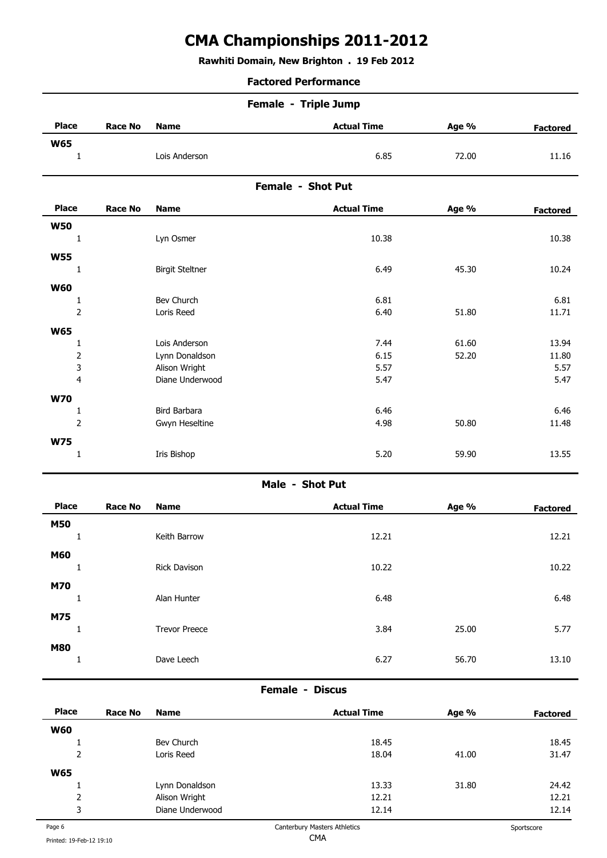# **Rawhiti Domain, New Brighton . 19 Feb 2012**

#### **Factored Performance**

|                | Female - Triple Jump   |                    |       |                       |  |  |  |
|----------------|------------------------|--------------------|-------|-----------------------|--|--|--|
| <b>Race No</b> | <b>Name</b>            | <b>Actual Time</b> | Age % | <b>Factored</b>       |  |  |  |
|                | Lois Anderson          |                    | 72.00 | 11.16                 |  |  |  |
|                |                        | Female - Shot Put  |       |                       |  |  |  |
| <b>Race No</b> | <b>Name</b>            | <b>Actual Time</b> | Age % | <b>Factored</b>       |  |  |  |
|                | Lyn Osmer              |                    |       | 10.38                 |  |  |  |
|                | <b>Birgit Steltner</b> |                    | 45.30 | 10.24                 |  |  |  |
|                |                        |                    |       | 6.85<br>10.38<br>6.49 |  |  |  |

| <b>W60</b> |                |                 |      |       |       |
|------------|----------------|-----------------|------|-------|-------|
|            |                | Bev Church      | 6.81 |       | 6.81  |
|            | 2              | Loris Reed      | 6.40 | 51.80 | 11.71 |
| <b>W65</b> |                |                 |      |       |       |
|            |                | Lois Anderson   | 7.44 | 61.60 | 13.94 |
|            | 2              | Lynn Donaldson  | 6.15 | 52.20 | 11.80 |
|            | 3              | Alison Wright   | 5.57 |       | 5.57  |
|            | 4              | Diane Underwood | 5.47 |       | 5.47  |
| <b>W70</b> |                |                 |      |       |       |
|            |                | Bird Barbara    | 6.46 |       | 6.46  |
|            | $\overline{2}$ | Gwyn Heseltine  | 4.98 | 50.80 | 11.48 |
| <b>W75</b> |                |                 |      |       |       |
|            |                | Iris Bishop     | 5.20 | 59.90 | 13.55 |
|            |                |                 |      |       |       |

## **Male - Shot Put**

| <b>Place</b> | <b>Race No</b> | <b>Name</b>          | <b>Actual Time</b> | Age % | <b>Factored</b> |
|--------------|----------------|----------------------|--------------------|-------|-----------------|
| <b>M50</b>   |                |                      |                    |       |                 |
| щ.           |                | Keith Barrow         | 12.21              |       | 12.21           |
| M60<br>Τ.    |                | Rick Davison         | 10.22              |       | 10.22           |
| <b>M70</b>   |                |                      |                    |       |                 |
| Τ.           |                | Alan Hunter          | 6.48               |       | 6.48            |
| M75          |                |                      |                    |       |                 |
|              |                | <b>Trevor Preece</b> | 3.84               | 25.00 | 5.77            |
| <b>M80</b>   |                | Dave Leech           | 6.27               | 56.70 | 13.10           |
|              |                |                      |                    |       |                 |

## **Female - Discus**

| <b>Place</b> | Race No | <b>Name</b>     | <b>Actual Time</b> | Age % | <b>Factored</b> |
|--------------|---------|-----------------|--------------------|-------|-----------------|
| <b>W60</b>   |         |                 |                    |       |                 |
|              |         | Bev Church      | 18.45              |       | 18.45           |
| 2            |         | Loris Reed      | 18.04              | 41.00 | 31.47           |
| <b>W65</b>   |         |                 |                    |       |                 |
| л.           |         | Lynn Donaldson  | 13.33              | 31.80 | 24.42           |
| 2            |         | Alison Wright   | 12.21              |       | 12.21           |
| 3            |         | Diane Underwood | 12.14              |       | 12.14           |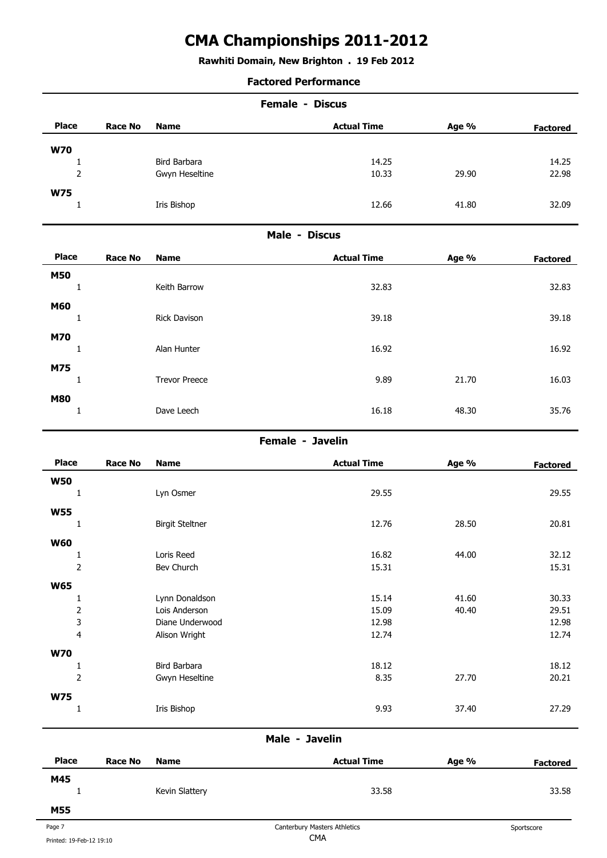**Rawhiti Domain, New Brighton . 19 Feb 2012**

### **Factored Performance**

|              |         | <b>Female - Discus</b> |                    |       |                 |  |
|--------------|---------|------------------------|--------------------|-------|-----------------|--|
| <b>Place</b> | Race No | Name                   | <b>Actual Time</b> | Age % | <b>Factored</b> |  |
| <b>W70</b>   |         |                        |                    |       |                 |  |
|              |         | Bird Barbara           | 14.25              |       | 14.25           |  |
| 2            |         | Gwyn Heseltine         | 10.33              | 29.90 | 22.98           |  |
| <b>W75</b>   |         |                        |                    |       |                 |  |
|              |         | Iris Bishop            | 12.66              | 41.80 | 32.09           |  |

### **Male - Discus**

| <b>Place</b> | <b>Race No</b> | <b>Name</b>          | <b>Actual Time</b> | Age % | <b>Factored</b> |
|--------------|----------------|----------------------|--------------------|-------|-----------------|
| <b>M50</b>   |                |                      |                    |       |                 |
|              |                | Keith Barrow         | 32.83              |       | 32.83           |
| <b>M60</b>   |                |                      |                    |       |                 |
|              |                | Rick Davison         | 39.18              |       | 39.18           |
| <b>M70</b>   |                |                      |                    |       |                 |
|              |                | Alan Hunter          | 16.92              |       | 16.92           |
| M75          |                |                      |                    |       |                 |
|              |                | <b>Trevor Preece</b> | 9.89               | 21.70 | 16.03           |
| <b>M80</b>   |                |                      |                    |       |                 |
|              |                | Dave Leech           | 16.18              | 48.30 | 35.76           |

### **Female - Javelin**

| <b>Place</b>            | <b>Race No</b> | <b>Name</b>            | <b>Actual Time</b> | Age % | <b>Factored</b> |
|-------------------------|----------------|------------------------|--------------------|-------|-----------------|
| <b>W50</b>              |                |                        |                    |       |                 |
|                         |                | Lyn Osmer              | 29.55              |       | 29.55           |
| <b>W55</b>              |                |                        |                    |       |                 |
| 1                       |                | <b>Birgit Steltner</b> | 12.76              | 28.50 | 20.81           |
| <b>W60</b>              |                |                        |                    |       |                 |
|                         |                | Loris Reed             | 16.82              | 44.00 | 32.12           |
| $\overline{2}$          |                | Bev Church             | 15.31              |       | 15.31           |
|                         |                |                        |                    |       |                 |
| <b>W65</b>              |                |                        |                    |       |                 |
|                         |                | Lynn Donaldson         | 15.14              | 41.60 | 30.33           |
| $\mathbf 2$             |                | Lois Anderson          | 15.09              | 40.40 | 29.51           |
| $\overline{3}$          |                | Diane Underwood        | 12.98              |       | 12.98           |
| $\overline{\mathbf{4}}$ |                | Alison Wright          | 12.74              |       | 12.74           |
| <b>W70</b>              |                |                        |                    |       |                 |
| 1                       |                | Bird Barbara           | 18.12              |       | 18.12           |
| $\overline{2}$          |                | Gwyn Heseltine         | 8.35               | 27.70 | 20.21           |
| <b>W75</b>              |                |                        |                    |       |                 |
|                         |                | Iris Bishop            | 9.93               | 37.40 | 27.29           |
|                         |                |                        |                    |       |                 |
|                         |                |                        |                    |       |                 |

## **Male - Javelin**

| <b>Place</b> | Race No | <b>Name</b>    | <b>Actual Time</b> | Age % | <b>Factored</b> |
|--------------|---------|----------------|--------------------|-------|-----------------|
| M45          |         | Kevin Slattery | 33.58              |       | 33.58           |
| M55          |         |                |                    |       |                 |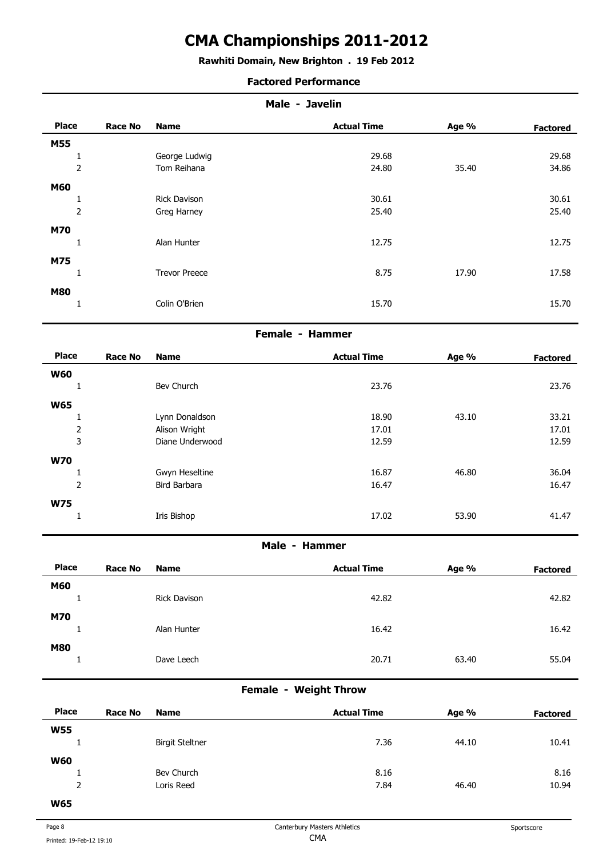## **Rawhiti Domain, New Brighton . 19 Feb 2012**

### **Factored Performance**

| Male - Javelin  |                |                      |                    |       |                 |  |  |
|-----------------|----------------|----------------------|--------------------|-------|-----------------|--|--|
| <b>Place</b>    | <b>Race No</b> | <b>Name</b>          | <b>Actual Time</b> | Age % | <b>Factored</b> |  |  |
| <b>M55</b>      |                |                      |                    |       |                 |  |  |
|                 |                | George Ludwig        | 29.68              |       | 29.68           |  |  |
| $\overline{2}$  |                | Tom Reihana          | 24.80              | 35.40 | 34.86           |  |  |
| <b>M60</b>      |                |                      |                    |       |                 |  |  |
| T               |                | Rick Davison         | 30.61              |       | 30.61           |  |  |
| $\overline{2}$  |                | Greg Harney          | 25.40              |       | 25.40           |  |  |
| <b>M70</b>      |                |                      |                    |       |                 |  |  |
| 1               |                | Alan Hunter          | 12.75              |       | 12.75           |  |  |
| M75             |                |                      |                    |       |                 |  |  |
| 1               |                | <b>Trevor Preece</b> | 8.75               | 17.90 | 17.58           |  |  |
|                 |                |                      |                    |       |                 |  |  |
| <b>M80</b><br>۰ |                |                      |                    |       |                 |  |  |
|                 |                | Colin O'Brien        | 15.70              |       | 15.70           |  |  |
|                 |                |                      |                    |       |                 |  |  |

#### **Female - Hammer**

| <b>Place</b>   | <b>Race No</b> | <b>Name</b>     | <b>Actual Time</b> | Age % | <b>Factored</b> |
|----------------|----------------|-----------------|--------------------|-------|-----------------|
| <b>W60</b>     |                |                 |                    |       |                 |
| Ŧ              |                | Bev Church      | 23.76              |       | 23.76           |
| <b>W65</b>     |                |                 |                    |       |                 |
|                |                | Lynn Donaldson  | 18.90              | 43.10 | 33.21           |
| 2              |                | Alison Wright   | 17.01              |       | 17.01           |
| 3              |                | Diane Underwood | 12.59              |       | 12.59           |
| <b>W70</b>     |                |                 |                    |       |                 |
|                |                | Gwyn Heseltine  | 16.87              | 46.80 | 36.04           |
| $\overline{2}$ |                | Bird Barbara    | 16.47              |       | 16.47           |
| <b>W75</b>     |                |                 |                    |       |                 |
|                |                | Iris Bishop     | 17.02              | 53.90 | 41.47           |

### **Male - Hammer**

| <b>Place</b>           | <b>Race No</b> | <b>Name</b>  | <b>Actual Time</b> | Age % | <b>Factored</b> |
|------------------------|----------------|--------------|--------------------|-------|-----------------|
| <b>M60</b><br><b>.</b> |                | Rick Davison | 42.82              |       | 42.82           |
| <b>M70</b>             |                |              |                    |       |                 |
| <b>.</b>               |                | Alan Hunter  | 16.42              |       | 16.42           |
| <b>M80</b>             |                | Dave Leech   | 20.71              | 63.40 | 55.04           |
|                        |                |              |                    |       |                 |

## **Female - Weight Throw**

| <b>Place</b>       | <b>Race No</b> | <b>Name</b>            | <b>Actual Time</b> | Age % | <b>Factored</b> |
|--------------------|----------------|------------------------|--------------------|-------|-----------------|
| <b>W55</b>         |                |                        |                    |       |                 |
|                    |                | <b>Birgit Steltner</b> | 7.36               | 44.10 | 10.41           |
| <b>W60</b>         |                |                        |                    |       |                 |
|                    |                | Bev Church             | 8.16               |       | 8.16            |
| $\mathcal{D}$<br>▵ |                | Loris Reed             | 7.84               | 46.40 | 10.94           |
| $\mathbf{M}$       |                |                        |                    |       |                 |